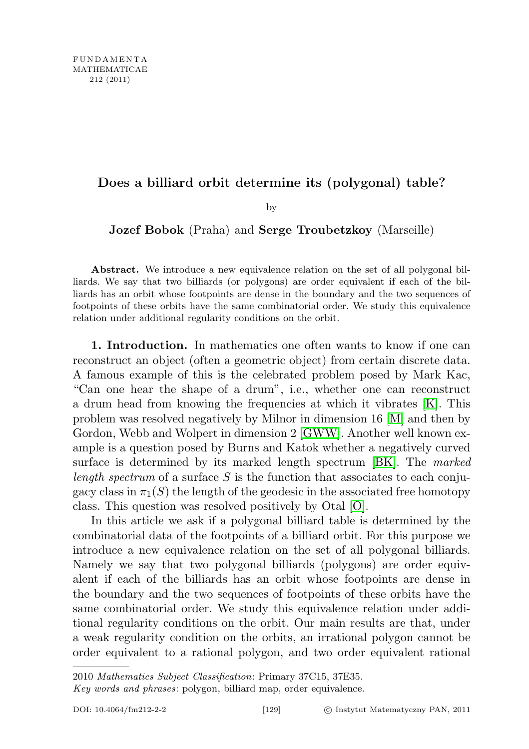## Does a billiard orbit determine its (polygonal) table?

by

Jozef Bobok (Praha) and Serge Troubetzkoy (Marseille)

Abstract. We introduce a new equivalence relation on the set of all polygonal billiards. We say that two billiards (or polygons) are order equivalent if each of the billiards has an orbit whose footpoints are dense in the boundary and the two sequences of footpoints of these orbits have the same combinatorial order. We study this equivalence relation under additional regularity conditions on the orbit.

1. Introduction. In mathematics one often wants to know if one can reconstruct an object (often a geometric object) from certain discrete data. A famous example of this is the celebrated problem posed by Mark Kac, "Can one hear the shape of a drum", i.e., whether one can reconstruct a drum head from knowing the frequencies at which it vibrates [\[K\]](#page-15-0). This problem was resolved negatively by Milnor in dimension 16 [\[M\]](#page-15-1) and then by Gordon, Webb and Wolpert in dimension 2 [\[GWW\]](#page-15-2). Another well known example is a question posed by Burns and Katok whether a negatively curved surface is determined by its marked length spectrum [\[BK\]](#page-15-3). The marked length spectrum of a surface  $S$  is the function that associates to each conjugacy class in  $\pi_1(S)$  the length of the geodesic in the associated free homotopy class. This question was resolved positively by Otal [\[O\]](#page-15-4).

In this article we ask if a polygonal billiard table is determined by the combinatorial data of the footpoints of a billiard orbit. For this purpose we introduce a new equivalence relation on the set of all polygonal billiards. Namely we say that two polygonal billiards (polygons) are order equivalent if each of the billiards has an orbit whose footpoints are dense in the boundary and the two sequences of footpoints of these orbits have the same combinatorial order. We study this equivalence relation under additional regularity conditions on the orbit. Our main results are that, under a weak regularity condition on the orbits, an irrational polygon cannot be order equivalent to a rational polygon, and two order equivalent rational

<sup>2010</sup> Mathematics Subject Classification: Primary 37C15, 37E35.

Key words and phrases: polygon, billiard map, order equivalence.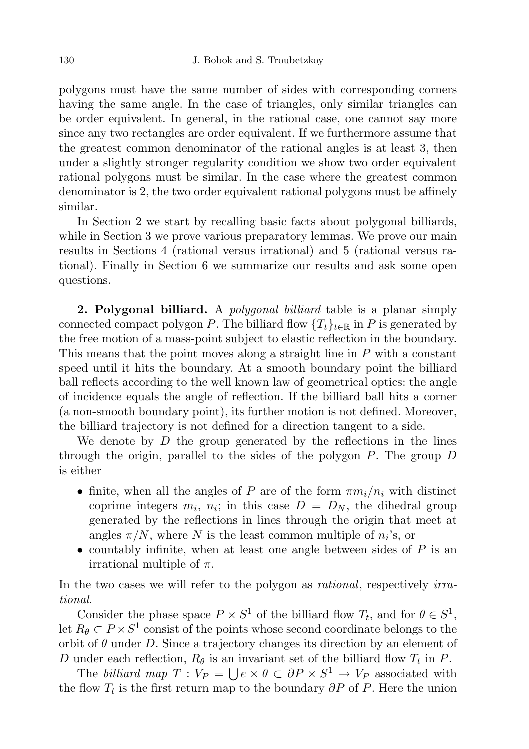polygons must have the same number of sides with corresponding corners having the same angle. In the case of triangles, only similar triangles can be order equivalent. In general, in the rational case, one cannot say more since any two rectangles are order equivalent. If we furthermore assume that the greatest common denominator of the rational angles is at least 3, then under a slightly stronger regularity condition we show two order equivalent rational polygons must be similar. In the case where the greatest common denominator is 2, the two order equivalent rational polygons must be affinely similar.

In Section 2 we start by recalling basic facts about polygonal billiards, while in Section 3 we prove various preparatory lemmas. We prove our main results in Sections 4 (rational versus irrational) and 5 (rational versus rational). Finally in Section 6 we summarize our results and ask some open questions.

**2. Polygonal billiard.** A *polygonal billiard* table is a planar simply connected compact polygon P. The billiard flow  $\{T_t\}_{t\in\mathbb{R}}$  in P is generated by the free motion of a mass-point subject to elastic reflection in the boundary. This means that the point moves along a straight line in P with a constant speed until it hits the boundary. At a smooth boundary point the billiard ball reflects according to the well known law of geometrical optics: the angle of incidence equals the angle of reflection. If the billiard ball hits a corner (a non-smooth boundary point), its further motion is not defined. Moreover, the billiard trajectory is not defined for a direction tangent to a side.

We denote by  $D$  the group generated by the reflections in the lines through the origin, parallel to the sides of the polygon P. The group D is either

- finite, when all the angles of P are of the form  $\pi m_i/n_i$  with distinct coprime integers  $m_i$ ,  $n_i$ ; in this case  $D = D_N$ , the dihedral group generated by the reflections in lines through the origin that meet at angles  $\pi/N$ , where N is the least common multiple of  $n_i$ 's, or
- countably infinite, when at least one angle between sides of  $P$  is an irrational multiple of π.

In the two cases we will refer to the polygon as *rational*, respectively *irra*tional.

Consider the phase space  $P \times S^1$  of the billiard flow  $T_t$ , and for  $\theta \in S^1$ , let  $R_{\theta} \subset P \times S^1$  consist of the points whose second coordinate belongs to the orbit of  $\theta$  under D. Since a trajectory changes its direction by an element of D under each reflection,  $R_{\theta}$  is an invariant set of the billiard flow  $T_t$  in P.

The billiard map  $T: V_P = \bigcup e \times \theta \subset \partial P \times S^1 \to V_P$  associated with the flow  $T_t$  is the first return map to the boundary  $\partial P$  of P. Here the union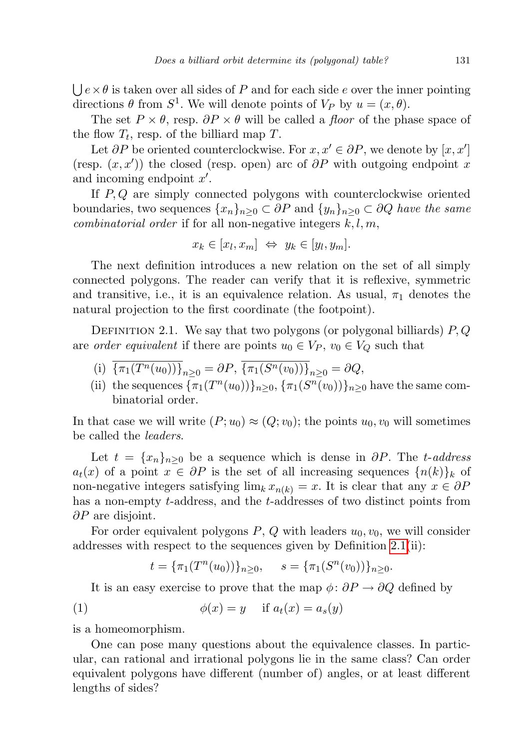$\bigcup e \times \theta$  is taken over all sides of P and for each side e over the inner pointing directions  $\theta$  from  $S^1$ . We will denote points of  $V_P$  by  $u = (x, \theta)$ .

The set  $P \times \theta$ , resp.  $\partial P \times \theta$  will be called a *floor* of the phase space of the flow  $T_t$ , resp. of the billiard map T.

Let  $\partial P$  be oriented counterclockwise. For  $x, x' \in \partial P$ , we denote by  $[x, x']$ (resp.  $(x, x')$ ) the closed (resp. open) arc of  $\partial P$  with outgoing endpoint x and incoming endpoint  $x'$ .

If P, Q are simply connected polygons with counterclockwise oriented boundaries, two sequences  $\{x_n\}_{n\geq 0} \subset \partial P$  and  $\{y_n\}_{n\geq 0} \subset \partial Q$  have the same combinatorial order if for all non-negative integers  $k, l, m$ ,

$$
x_k \in [x_l, x_m] \iff y_k \in [y_l, y_m].
$$

The next definition introduces a new relation on the set of all simply connected polygons. The reader can verify that it is reflexive, symmetric and transitive, i.e., it is an equivalence relation. As usual,  $\pi_1$  denotes the natural projection to the first coordinate (the footpoint).

<span id="page-2-0"></span>DEFINITION 2.1. We say that two polygons (or polygonal billiards)  $P, Q$ are order equivalent if there are points  $u_0 \in V_P$ ,  $v_0 \in V_Q$  such that

- (i)  $\overline{\{\pi_1(T^n(u_0))\}}_{n>0} = \partial P, \overline{\{\pi_1(S^n(v_0))\}}_{n>0} = \partial Q,$
- (ii) the sequences  $\{\pi_1(T^n(u_0))\}_{n\geq 0}, \{\pi_1(S^n(v_0))\}_{n\geq 0}$  have the same combinatorial order.

In that case we will write  $(P; u_0) \approx (Q; v_0)$ ; the points  $u_0, v_0$  will sometimes be called the leaders.

Let  $t = \{x_n\}_{n\geq 0}$  be a sequence which is dense in  $\partial P$ . The t-address  $a_t(x)$  of a point  $x \in \partial P$  is the set of all increasing sequences  $\{n(k)\}_k$  of non-negative integers satisfying  $\lim_k x_{n(k)} = x$ . It is clear that any  $x \in \partial P$ has a non-empty t-address, and the t-addresses of two distinct points from ∂P are disjoint.

For order equivalent polygons  $P, Q$  with leaders  $u_0, v_0$ , we will consider addresses with respect to the sequences given by Definition [2.1\(](#page-2-0)ii):

<span id="page-2-1"></span>
$$
t = {\pi_1(T^n(u_0))}_{{n \geq 0}}, \quad s = {\pi_1(S^n(v_0))}_{{n \geq 0}}.
$$

It is an easy exercise to prove that the map  $\phi: \partial P \to \partial Q$  defined by

$$
(1) \qquad \qquad \phi(x) = y \quad \text{if } a_t(x) = a_s(y)
$$

is a homeomorphism.

One can pose many questions about the equivalence classes. In particular, can rational and irrational polygons lie in the same class? Can order equivalent polygons have different (number of) angles, or at least different lengths of sides?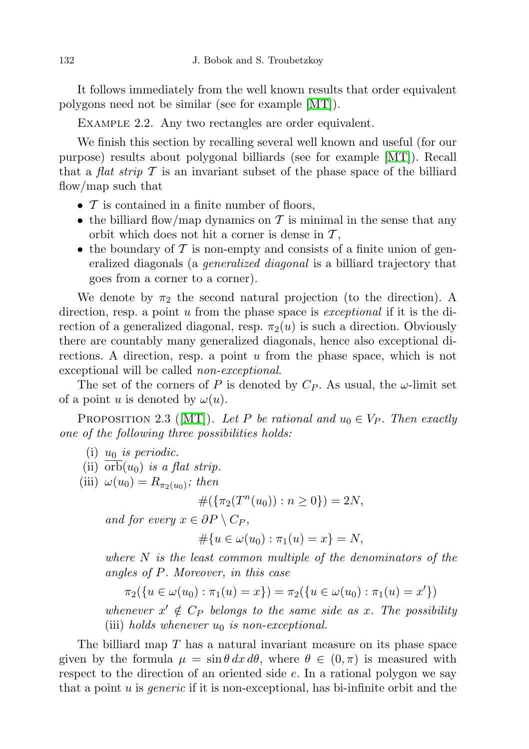It follows immediately from the well known results that order equivalent polygons need not be similar (see for example [\[MT\]](#page-15-5)).

<span id="page-3-1"></span>EXAMPLE 2.2. Any two rectangles are order equivalent.

We finish this section by recalling several well known and useful (for our purpose) results about polygonal billiards (see for example [\[MT\]](#page-15-5)). Recall that a *flat strip*  $\mathcal T$  is an invariant subset of the phase space of the billiard flow/map such that

- $\mathcal T$  is contained in a finite number of floors,
- the billiard flow/map dynamics on  $\mathcal T$  is minimal in the sense that any orbit which does not hit a corner is dense in  $\mathcal{T}$ ,
- the boundary of  $\mathcal T$  is non-empty and consists of a finite union of generalized diagonals (a generalized diagonal is a billiard trajectory that goes from a corner to a corner).

We denote by  $\pi_2$  the second natural projection (to the direction). A direction, resp. a point  $u$  from the phase space is *exceptional* if it is the direction of a generalized diagonal, resp.  $\pi_2(u)$  is such a direction. Obviously there are countably many generalized diagonals, hence also exceptional directions. A direction, resp. a point  $u$  from the phase space, which is not exceptional will be called non-exceptional.

The set of the corners of P is denoted by  $C_P$ . As usual, the  $\omega$ -limit set of a point u is denoted by  $\omega(u)$ .

<span id="page-3-0"></span>PROPOSITION 2.3 ([\[MT\]](#page-15-5)). Let P be rational and  $u_0 \in V_P$ . Then exactly one of the following three possibilities holds:

- (i)  $u_0$  is periodic.
- (ii)  $\overline{orb}(u_0)$  is a flat strip.
- (iii)  $\omega(u_0) = R_{\pi_2(u_0)}$ ; then

$$
\#(\{\pi_2(T^n(u_0)) : n \ge 0\}) = 2N,
$$

and for every  $x \in \partial P \setminus C_P$ ,

$$
\#\{u \in \omega(u_0) : \pi_1(u) = x\} = N,
$$

where  $N$  is the least common multiple of the denominators of the angles of P. Moreover, in this case

$$
\pi_2(\{u \in \omega(u_0) : \pi_1(u) = x\}) = \pi_2(\{u \in \omega(u_0) : \pi_1(u) = x'\})
$$

whenever  $x' \notin C_P$  belongs to the same side as x. The possibility (iii) holds whenever  $u_0$  is non-exceptional.

The billiard map T has a natural invariant measure on its phase space given by the formula  $\mu = \sin \theta \, dx \, d\theta$ , where  $\theta \in (0, \pi)$  is measured with respect to the direction of an oriented side e. In a rational polygon we say that a point  $u$  is *generic* if it is non-exceptional, has bi-infinite orbit and the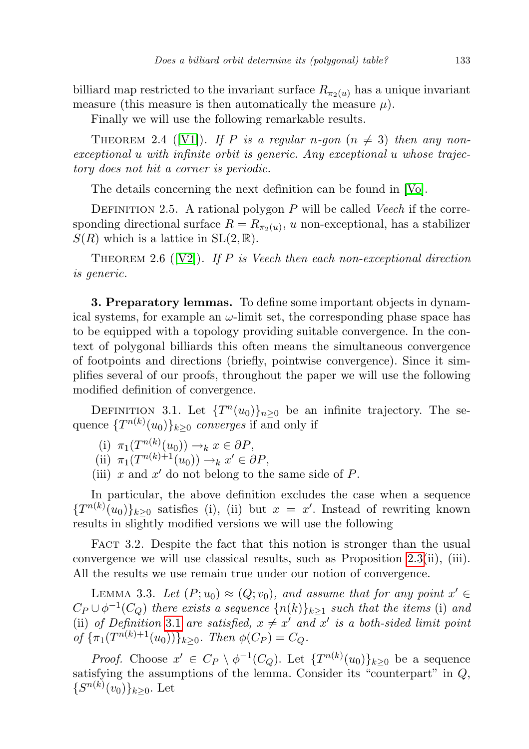billiard map restricted to the invariant surface  $R_{\pi_2(u)}$  has a unique invariant measure (this measure is then automatically the measure  $\mu$ ).

Finally we will use the following remarkable results.

<span id="page-4-3"></span>THEOREM 2.4 ([\[V1\]](#page-15-6)). If P is a regular n-gon  $(n \neq 3)$  then any nonexceptional u with infinite orbit is generic. Any exceptional u whose trajectory does not hit a corner is periodic.

The details concerning the next definition can be found in [\[Vo\]](#page-15-7).

<span id="page-4-2"></span>DEFINITION 2.5. A rational polygon  $P$  will be called *Veech* if the corresponding directional surface  $R = R_{\pi_2(u)}, u$  non-exceptional, has a stabilizer  $S(R)$  which is a lattice in  $SL(2,\mathbb{R})$ .

<span id="page-4-4"></span>THEOREM 2.6 ( $[V2]$ ). If P is Veech then each non-exceptional direction is generic.

3. Preparatory lemmas. To define some important objects in dynamical systems, for example an  $\omega$ -limit set, the corresponding phase space has to be equipped with a topology providing suitable convergence. In the context of polygonal billiards this often means the simultaneous convergence of footpoints and directions (briefly, pointwise convergence). Since it simplifies several of our proofs, throughout the paper we will use the following modified definition of convergence.

<span id="page-4-0"></span>DEFINITION 3.1. Let  $\{T^n(u_0)\}_{n\geq 0}$  be an infinite trajectory. The sequence  $\{T^{n(k)}(u_0)\}_{k\geq 0}$  converges if and only if

- (i)  $\pi_1(T^{n(k)}(u_0)) \to_k x \in \partial P$ ,
- (ii)  $\pi_1(T^{n(k)+1}(u_0)) \rightarrow_k x' \in \partial P$ ,
- (iii)  $x$  and  $x'$  do not belong to the same side of  $P$ .

In particular, the above definition excludes the case when a sequence  ${T^{n(k)}(u_0)}_{k\geq 0}$  satisfies (i), (ii) but  $x = x'$ . Instead of rewriting known results in slightly modified versions we will use the following

FACT 3.2. Despite the fact that this notion is stronger than the usual convergence we will use classical results, such as Proposition [2.3\(](#page-3-0)ii), (iii). All the results we use remain true under our notion of convergence.

<span id="page-4-1"></span>LEMMA 3.3. Let  $(P; u_0) \approx (Q; v_0)$ , and assume that for any point  $x' \in$  $C_P \cup \phi^{-1}(C_Q)$  there exists a sequence  $\{n(k)\}_{k\geq 1}$  such that the items (i) and (ii) of Definition [3.1](#page-4-0) are satisfied,  $x \neq x'$  and  $x'$  is a both-sided limit point of  ${\{\pi_1(T^{n(k)+1}(u_0))\}_{k\geq 0}}$ . Then  $\phi(C_P) = C_Q$ .

*Proof.* Choose  $x' \in C_P \setminus \phi^{-1}(C_Q)$ . Let  $\{T^{n(k)}(u_0)\}_{k \geq 0}$  be a sequence satisfying the assumptions of the lemma. Consider its "counterpart" in  $Q$ ,  $\{S^{n(k)}(v_0)\}_{k\geq 0}$ . Let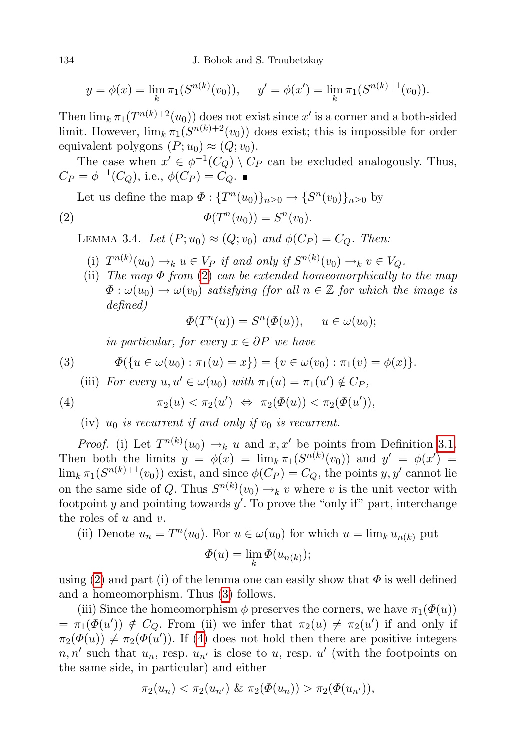134 J. Bobok and S. Troubetzkoy

$$
y = \phi(x) = \lim_{k} \pi_1(S^{n(k)}(v_0)), \quad y' = \phi(x') = \lim_{k} \pi_1(S^{n(k)+1}(v_0)).
$$

Then  $\lim_{k} \pi_1(T^{n(k)+2}(u_0))$  does not exist since  $x'$  is a corner and a both-sided limit. However,  $\lim_{k} \pi_1(S^{n(k)+2}(v_0))$  does exist; this is impossible for order equivalent polygons  $(P; u_0) \approx (Q; v_0)$ .

The case when  $x' \in \phi^{-1}(C_Q) \setminus C_P$  can be excluded analogously. Thus,  $C_P = \phi^{-1}(C_Q)$ , i.e.,  $\phi(C_P) = C_Q$ .

Let us define the map  $\Phi: \{T^n(u_0)\}_{n\geq 0} \to \{S^n(v_0)\}_{n\geq 0}$  by (2)  $\Phi(T^n(u_0)) = S^n(v_0).$ 

<span id="page-5-3"></span>LEMMA 3.4. Let  $(P; u_0) \approx (Q; v_0)$  and  $\phi(C_P) = C_Q$ . Then:

- (i)  $T^{n(k)}(u_0) \rightarrow_k u \in V_P$  if and only if  $S^{n(k)}(v_0) \rightarrow_k v \in V_Q$ .
- (ii) The map  $\Phi$  from [\(2\)](#page-5-0) can be extended homeomorphically to the map  $\Phi : \omega(u_0) \to \omega(v_0)$  satisfying (for all  $n \in \mathbb{Z}$  for which the image is defined)

<span id="page-5-0"></span>
$$
\Phi(T^n(u)) = S^n(\Phi(u)), \quad u \in \omega(u_0);
$$

in particular, for every  $x \in \partial P$  we have

<span id="page-5-1"></span>(3) 
$$
\Phi(\{u \in \omega(u_0) : \pi_1(u) = x\}) = \{v \in \omega(v_0) : \pi_1(v) = \phi(x)\}.
$$

(iii) For every  $u, u' \in \omega(u_0)$  with  $\pi_1(u) = \pi_1(u') \notin C_P$ ,

<span id="page-5-2"></span>(4) 
$$
\pi_2(u) < \pi_2(u') \Leftrightarrow \pi_2(\Phi(u)) < \pi_2(\Phi(u')),
$$

(iv)  $u_0$  is recurrent if and only if  $v_0$  is recurrent.

*Proof.* (i) Let  $T^{n(k)}(u_0) \to_k u$  and  $x, x'$  be points from Definition [3.1.](#page-4-0) Then both the limits  $y = \phi(x) = \lim_k \pi_1(S^{n(k)}(v_0))$  and  $y' = \phi(x') =$  $\lim_{k} \pi_1(S^{n(k)+1}(v_0))$  exist, and since  $\phi(C_P) = C_Q$ , the points y, y' cannot lie on the same side of Q. Thus  $S^{n(k)}(v_0) \to_k v$  where v is the unit vector with footpoint y and pointing towards  $y'$ . To prove the "only if" part, interchange the roles of  $u$  and  $v$ .

(ii) Denote  $u_n = T^n(u_0)$ . For  $u \in \omega(u_0)$  for which  $u = \lim_k u_{n(k)}$  put

$$
\Phi(u) = \lim_{k} \Phi(u_{n(k)})
$$

using [\(2\)](#page-5-0) and part (i) of the lemma one can easily show that  $\Phi$  is well defined and a homeomorphism. Thus [\(3\)](#page-5-1) follows.

(iii) Since the homeomorphism  $\phi$  preserves the corners, we have  $\pi_1(\Phi(u))$  $= \pi_1(\Phi(u')) \notin C_Q$ . From (ii) we infer that  $\pi_2(u) \neq \pi_2(u')$  if and only if  $\pi_2(\Phi(u)) \neq \pi_2(\Phi(u'))$ . If [\(4\)](#page-5-2) does not hold then there are positive integers  $n, n'$  such that  $u_n$ , resp.  $u_{n'}$  is close to u, resp. u' (with the footpoints on the same side, in particular) and either

$$
\pi_2(u_n) < \pi_2(u_{n'}) \& \pi_2(\Phi(u_n)) > \pi_2(\Phi(u_{n'})),
$$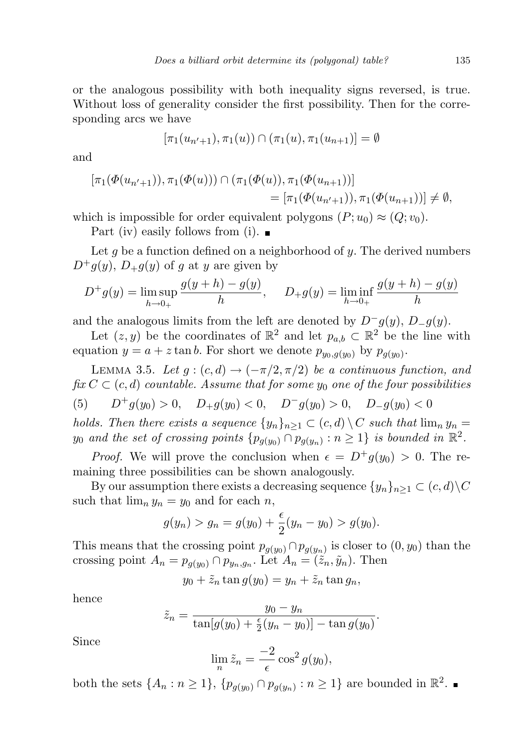or the analogous possibility with both inequality signs reversed, is true. Without loss of generality consider the first possibility. Then for the corresponding arcs we have

$$
[\pi_1(u_{n'+1}), \pi_1(u)) \cap (\pi_1(u), \pi_1(u_{n+1})] = \emptyset
$$

and

$$
[\pi_1(\Phi(u_{n'+1})), \pi_1(\Phi(u))) \cap (\pi_1(\Phi(u)), \pi_1(\Phi(u_{n+1}))]
$$
  
=  $[\pi_1(\Phi(u_{n'+1})), \pi_1(\Phi(u_{n+1}))] \neq \emptyset,$ 

which is impossible for order equivalent polygons  $(P; u_0) \approx (Q; v_0)$ .

Part (iv) easily follows from (i).  $\blacksquare$ 

Let  $g$  be a function defined on a neighborhood of  $y$ . The derived numbers  $D^+g(y)$ ,  $D_+g(y)$  of g at y are given by

$$
D^{+}g(y) = \lim_{h \to 0+} \frac{g(y+h) - g(y)}{h}, \quad D_{+}g(y) = \liminf_{h \to 0+} \frac{g(y+h) - g(y)}{h}
$$

and the analogous limits from the left are denoted by  $D^{\dagger}g(y)$ ,  $D_{-}g(y)$ .

Let  $(z, y)$  be the coordinates of  $\mathbb{R}^2$  and let  $p_{a,b} \subset \mathbb{R}^2$  be the line with equation  $y = a + z \tan b$ . For short we denote  $p_{y_0, g(y_0)}$  by  $p_{g(y_0)}$ .

<span id="page-6-1"></span>LEMMA 3.5. Let  $g:(c,d) \rightarrow (-\pi/2, \pi/2)$  be a continuous function, and  $fix C \subset (c,d)$  countable. Assume that for some  $y_0$  one of the four possibilities (5)  $D^+g(y_0) > 0$ ,  $D_+g(y_0) < 0$ ,  $D^-g(y_0) > 0$ ,  $D_-g(y_0) < 0$ 

<span id="page-6-0"></span>holds. Then there exists a sequence  $\{y_n\}_{n\geq 1} \subset (c,d) \setminus C$  such that  $\lim_n y_n =$  $y_0$  and the set of crossing points  $\{p_{g(y_0)} \cap p_{g(y_n)} : n \geq 1\}$  is bounded in  $\mathbb{R}^2$ .

*Proof.* We will prove the conclusion when  $\epsilon = D^+g(y_0) > 0$ . The remaining three possibilities can be shown analogously.

By our assumption there exists a decreasing sequence  $\{y_n\}_{n\geq 1} \subset (c,d) \backslash C$ such that  $\lim_{n} y_n = y_0$  and for each n,

$$
g(y_n) > g_n = g(y_0) + \frac{\epsilon}{2}(y_n - y_0) > g(y_0).
$$

This means that the crossing point  $p_{g(y_0)} \cap p_{g(y_n)}$  is closer to  $(0, y_0)$  than the crossing point  $A_n = p_{g(y_0)} \cap p_{y_n, g_n}$ . Let  $A_n = (\tilde{z}_n, \tilde{y}_n)$ . Then

$$
y_0 + \tilde{z}_n \tan g(y_0) = y_n + \tilde{z}_n \tan g_n,
$$

hence

$$
\tilde{z}_n = \frac{y_0 - y_n}{\tan[g(y_0) + \frac{\epsilon}{2}(y_n - y_0)] - \tan g(y_0)}.
$$

Since

$$
\lim_{n} \tilde{z}_n = \frac{-2}{\epsilon} \cos^2 g(y_0),
$$

both the sets  $\{A_n : n \geq 1\}$ ,  $\{p_{g(y_0)} \cap p_{g(y_n)} : n \geq 1\}$  are bounded in  $\mathbb{R}^2$ .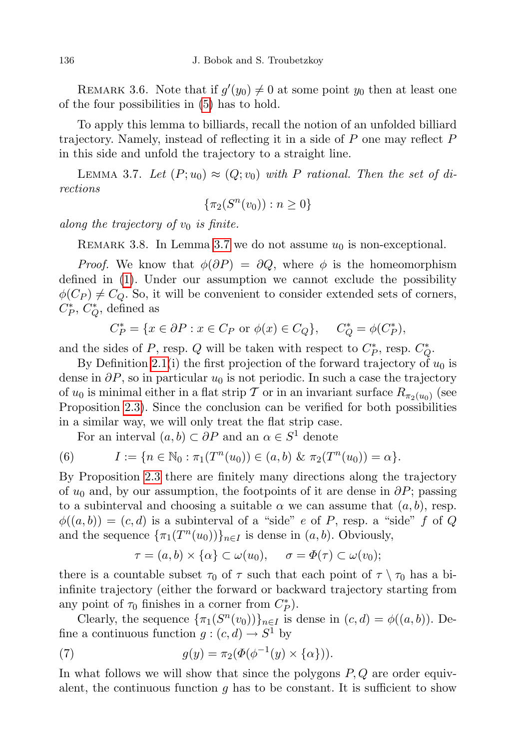REMARK 3.6. Note that if  $g'(y_0) \neq 0$  at some point  $y_0$  then at least one of the four possibilities in [\(5\)](#page-6-0) has to hold.

To apply this lemma to billiards, recall the notion of an unfolded billiard trajectory. Namely, instead of reflecting it in a side of P one may reflect P in this side and unfold the trajectory to a straight line.

<span id="page-7-0"></span>LEMMA 3.7. Let  $(P; u_0) \approx (Q; v_0)$  with P rational. Then the set of directions

$$
\{\pi_2(S^n(v_0)) : n \ge 0\}
$$

along the trajectory of  $v_0$  is finite.

REMARK 3.8. In Lemma [3.7](#page-7-0) we do not assume  $u_0$  is non-exceptional.

*Proof.* We know that  $\phi(\partial P) = \partial Q$ , where  $\phi$  is the homeomorphism defined in [\(1\)](#page-2-1). Under our assumption we cannot exclude the possibility  $\phi(C_P) \neq C_Q$ . So, it will be convenient to consider extended sets of corners,  $C_P^*$ ,  $C_Q^*$ , defined as

$$
C_P^* = \{ x \in \partial P : x \in C_P \text{ or } \phi(x) \in C_Q \}, \quad C_Q^* = \phi(C_P^*),
$$

and the sides of P, resp. Q will be taken with respect to  $C_P^*$ , resp.  $C_Q^*$ .

By Definition [2.1\(](#page-2-0)i) the first projection of the forward trajectory of  $u_0$  is dense in  $\partial P$ , so in particular  $u_0$  is not periodic. In such a case the trajectory of  $u_0$  is minimal either in a flat strip  $\mathcal T$  or in an invariant surface  $R_{\pi_2(u_0)}$  (see Proposition [2.3\)](#page-3-0). Since the conclusion can be verified for both possibilities in a similar way, we will only treat the flat strip case.

<span id="page-7-2"></span>For an interval  $(a, b) \subset \partial P$  and an  $\alpha \in S^1$  denote

(6) 
$$
I := \{ n \in \mathbb{N}_0 : \pi_1(T^n(u_0)) \in (a, b) \& \pi_2(T^n(u_0)) = \alpha \}.
$$

By Proposition [2.3](#page-3-0) there are finitely many directions along the trajectory of  $u_0$  and, by our assumption, the footpoints of it are dense in  $\partial P$ ; passing to a subinterval and choosing a suitable  $\alpha$  we can assume that  $(a, b)$ , resp.  $\phi((a, b)) = (c, d)$  is a subinterval of a "side" e of P, resp. a "side" f of Q and the sequence  $\{\pi_1(T^n(u_0))\}_{n\in I}$  is dense in  $(a, b)$ . Obviously,

<span id="page-7-1"></span>
$$
\tau = (a, b) \times \{\alpha\} \subset \omega(u_0), \quad \sigma = \Phi(\tau) \subset \omega(v_0);
$$

there is a countable subset  $\tau_0$  of  $\tau$  such that each point of  $\tau \setminus \tau_0$  has a biinfinite trajectory (either the forward or backward trajectory starting from any point of  $\tau_0$  finishes in a corner from  $C_P^*$ ).

Clearly, the sequence  ${\lbrace \pi_1(S^n(v_0)) \rbrace_{n \in I}}$  is dense in  $(c, d) = \phi((a, b))$ . Define a continuous function  $g:(c,d)\to S^1$  by

(7) 
$$
g(y) = \pi_2(\Phi(\phi^{-1}(y) \times {\alpha})).
$$

In what follows we will show that since the polygons  $P, Q$  are order equivalent, the continuous function  $q$  has to be constant. It is sufficient to show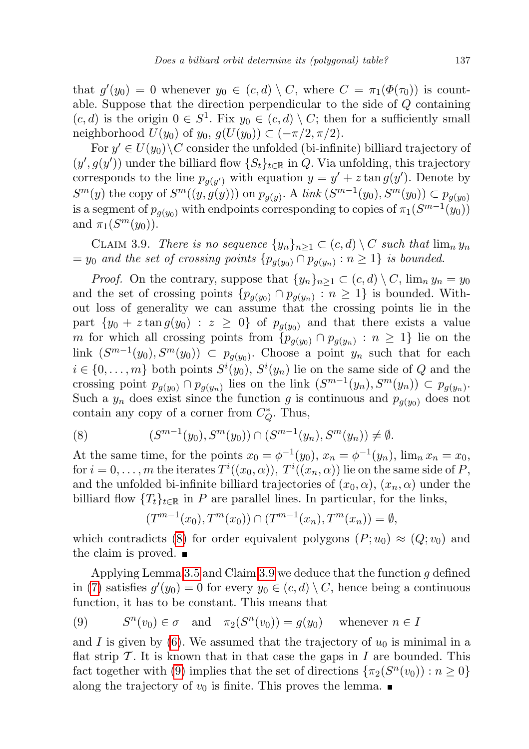that  $g'(y_0) = 0$  whenever  $y_0 \in (c, d) \setminus C$ , where  $C = \pi_1(\Phi(\tau_0))$  is countable. Suppose that the direction perpendicular to the side of Q containing  $(c, d)$  is the origin  $0 \in S^1$ . Fix  $y_0 \in (c, d) \setminus C$ ; then for a sufficiently small neighborhood  $U(y_0)$  of  $y_0$ ,  $g(U(y_0)) \subset (-\pi/2, \pi/2)$ .

For  $y' \in U(y_0) \backslash C$  consider the unfolded (bi-infinite) billiard trajectory of  $(y', g(y'))$  under the billiard flow  $\{S_t\}_{t \in \mathbb{R}}$  in Q. Via unfolding, this trajectory corresponds to the line  $p_{g(y')}$  with equation  $y = y' + z \tan g(y')$ . Denote by  $S^{m}(y)$  the copy of  $S^{m}((y, g(y)))$  on  $p_{g(y)}$ . A link  $(S^{m-1}(y_0), S^{m}(y_0)) \subset p_{g(y_0)}$ is a segment of  $p_{g(y_0)}$  with endpoints corresponding to copies of  $\pi_1(S^{m-1}(y_0))$ and  $\pi_1(S^m(y_0))$ .

<span id="page-8-1"></span>CLAIM 3.9. There is no sequence  $\{y_n\}_{n\geq 1} \subset (c,d) \setminus C$  such that  $\lim_n y_n$  $= y_0$  and the set of crossing points  $\{p_{g(y_0)} \cap p_{g(y_n)} : n \geq 1\}$  is bounded.

*Proof.* On the contrary, suppose that  $\{y_n\}_{n>1} \subset (c,d) \setminus C$ ,  $\lim_n y_n = y_0$ and the set of crossing points  $\{p_{g(y_0)} \cap p_{g(y_n)} : n \geq 1\}$  is bounded. Without loss of generality we can assume that the crossing points lie in the part  $\{y_0 + z \tan g(y_0) : z \geq 0\}$  of  $p_{q(y_0)}$  and that there exists a value m for which all crossing points from  $\{p_{g(y_0)} \cap p_{g(y_n)} : n \geq 1\}$  lie on the link  $(S^{m-1}(y_0), S^m(y_0)) \subset p_{g(y_0)}$ . Choose a point  $y_n$  such that for each  $i \in \{0, \ldots, m\}$  both points  $S^i(y_0), S^i(y_n)$  lie on the same side of Q and the crossing point  $p_{g(y_0)} \cap p_{g(y_n)}$  lies on the link  $(S^{m-1}(y_n), S^m(y_n)) \subset p_{g(y_n)}$ . Such a  $y_n$  does exist since the function g is continuous and  $p_{q(y_0)}$  does not contain any copy of a corner from  $C^*_{Q}$ . Thus,

<span id="page-8-0"></span>(8) 
$$
(S^{m-1}(y_0), S^m(y_0)) \cap (S^{m-1}(y_n), S^m(y_n)) \neq \emptyset.
$$

At the same time, for the points  $x_0 = \phi^{-1}(y_0)$ ,  $x_n = \phi^{-1}(y_n)$ ,  $\lim_n x_n = x_0$ , for  $i = 0, \ldots, m$  the iterates  $T^{i}((x_0, \alpha)), T^{i}((x_n, \alpha))$  lie on the same side of P, and the unfolded bi-infinite billiard trajectories of  $(x_0, \alpha)$ ,  $(x_n, \alpha)$  under the billiard flow  $\{T_t\}_{t\in\mathbb{R}}$  in P are parallel lines. In particular, for the links,

$$
(T^{m-1}(x_0), T^m(x_0)) \cap (T^{m-1}(x_n), T^m(x_n)) = \emptyset,
$$

which contradicts [\(8\)](#page-8-0) for order equivalent polygons  $(P; u_0) \approx (Q; v_0)$  and the claim is proved.  $\blacksquare$ 

Applying Lemma [3.5](#page-6-1) and Claim [3.9](#page-8-1) we deduce that the function  $q$  defined in [\(7\)](#page-7-1) satisfies  $g'(y_0) = 0$  for every  $y_0 \in (c, d) \setminus C$ , hence being a continuous function, it has to be constant. This means that

<span id="page-8-2"></span>(9) 
$$
S^n(v_0) \in \sigma
$$
 and  $\pi_2(S^n(v_0)) = g(y_0)$  whenever  $n \in I$ 

and I is given by  $(6)$ . We assumed that the trajectory of  $u_0$  is minimal in a flat strip T. It is known that in that case the gaps in I are bounded. This fact together with [\(9\)](#page-8-2) implies that the set of directions  $\{\pi_2(S^n(v_0)) : n \geq 0\}$ along the trajectory of  $v_0$  is finite. This proves the lemma.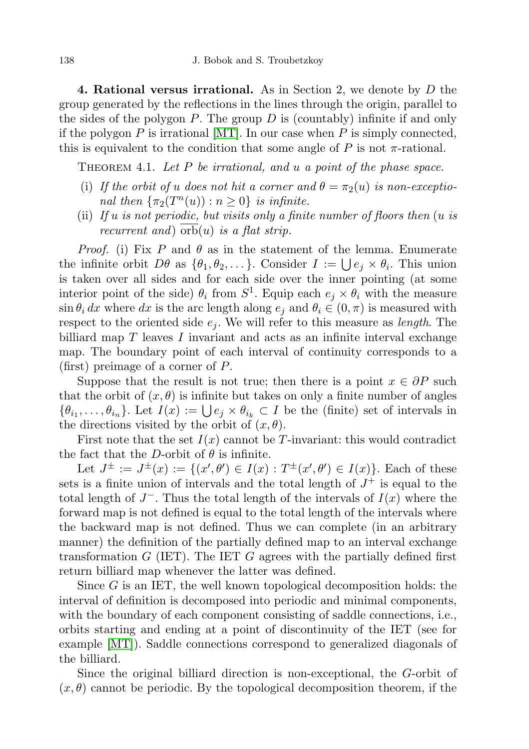4. Rational versus irrational. As in Section 2, we denote by  $D$  the group generated by the reflections in the lines through the origin, parallel to the sides of the polygon  $P$ . The group  $D$  is (countably) infinite if and only if the polygon  $P$  is irrational  $[MT]$ . In our case when  $P$  is simply connected, this is equivalent to the condition that some angle of P is not  $\pi$ -rational.

<span id="page-9-0"></span>THEOREM 4.1. Let  $P$  be irrational, and  $u$  a point of the phase space.

- (i) If the orbit of u does not hit a corner and  $\theta = \pi_2(u)$  is non-exceptional then  $\{\pi_2(T^n(u)) : n \geq 0\}$  is infinite.
- (ii) If u is not periodic, but visits only a finite number of floors then  $(u$  is recurrent and) orb $(u)$  is a flat strip.

*Proof.* (i) Fix P and  $\theta$  as in the statement of the lemma. Enumerate the infinite orbit  $D\theta$  as  $\{\theta_1, \theta_2, \dots\}$ . Consider  $I := \bigcup e_j \times \theta_i$ . This union is taken over all sides and for each side over the inner pointing (at some interior point of the side)  $\theta_i$  from  $S^1$ . Equip each  $e_j \times \theta_i$  with the measure  $\sin \theta_i dx$  where dx is the arc length along  $e_j$  and  $\theta_i \in (0, \pi)$  is measured with respect to the oriented side  $e_i$ . We will refer to this measure as *length*. The billiard map  $T$  leaves  $I$  invariant and acts as an infinite interval exchange map. The boundary point of each interval of continuity corresponds to a (first) preimage of a corner of P.

Suppose that the result is not true; then there is a point  $x \in \partial P$  such that the orbit of  $(x, \theta)$  is infinite but takes on only a finite number of angles  $\{\theta_{i_1},\ldots,\theta_{i_n}\}\.$  Let  $I(x) := \bigcup e_j \times \theta_{i_k} \subset I$  be the (finite) set of intervals in the directions visited by the orbit of  $(x, \theta)$ .

First note that the set  $I(x)$  cannot be T-invariant: this would contradict the fact that the D-orbit of  $\theta$  is infinite.

Let  $J^{\pm} := J^{\pm}(x) := \{(x', \theta') \in I(x) : T^{\pm}(x', \theta') \in I(x)\}\.$  Each of these sets is a finite union of intervals and the total length of  $J^+$  is equal to the total length of  $J^-$ . Thus the total length of the intervals of  $I(x)$  where the forward map is not defined is equal to the total length of the intervals where the backward map is not defined. Thus we can complete (in an arbitrary manner) the definition of the partially defined map to an interval exchange transformation  $G$  (IET). The IET  $G$  agrees with the partially defined first return billiard map whenever the latter was defined.

Since G is an IET, the well known topological decomposition holds: the interval of definition is decomposed into periodic and minimal components, with the boundary of each component consisting of saddle connections, i.e., orbits starting and ending at a point of discontinuity of the IET (see for example [\[MT\]](#page-15-5)). Saddle connections correspond to generalized diagonals of the billiard.

Since the original billiard direction is non-exceptional, the G-orbit of  $(x, \theta)$  cannot be periodic. By the topological decomposition theorem, if the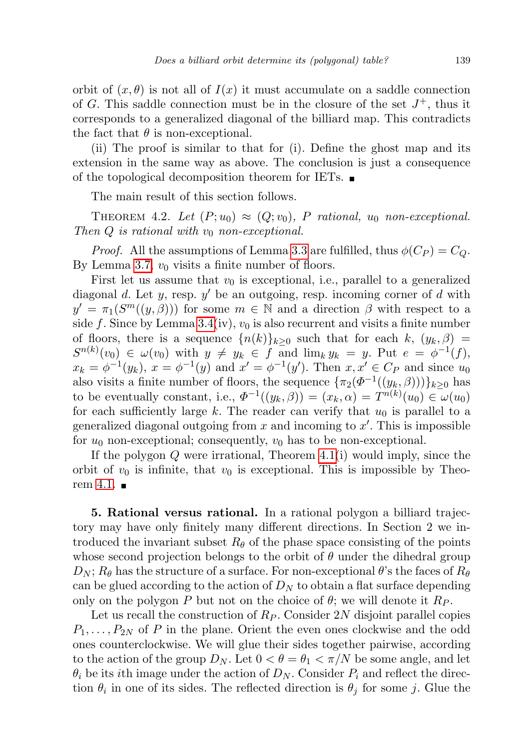orbit of  $(x, \theta)$  is not all of  $I(x)$  it must accumulate on a saddle connection of G. This saddle connection must be in the closure of the set  $J^+$ , thus it corresponds to a generalized diagonal of the billiard map. This contradicts the fact that  $\theta$  is non-exceptional.

(ii) The proof is similar to that for (i). Define the ghost map and its extension in the same way as above. The conclusion is just a consequence of the topological decomposition theorem for IETs.  $\blacksquare$ 

The main result of this section follows.

<span id="page-10-0"></span>THEOREM 4.2. Let  $(P; u_0) \approx (Q; v_0)$ , P rational,  $u_0$  non-exceptional. Then  $Q$  is rational with  $v_0$  non-exceptional.

*Proof.* All the assumptions of Lemma [3.3](#page-4-1) are fulfilled, thus  $\phi(C_P) = C_Q$ . By Lemma [3.7,](#page-7-0)  $v_0$  visits a finite number of floors.

First let us assume that  $v_0$  is exceptional, i.e., parallel to a generalized diagonal d. Let y, resp. y' be an outgoing, resp. incoming corner of d with  $y' = \pi_1(S^m((y,\beta)))$  for some  $m \in \mathbb{N}$  and a direction  $\beta$  with respect to a side f. Since by Lemma [3.4\(](#page-5-3)iv),  $v_0$  is also recurrent and visits a finite number of floors, there is a sequence  $\{n(k)\}_{k>0}$  such that for each k,  $(y_k, \beta)$  =  $S^{n(k)}(v_0) \in \omega(v_0)$  with  $y \neq y_k \in f$  and  $\lim_k y_k = y$ . Put  $e = \phi^{-1}(f)$ ,  $x_k = \phi^{-1}(y_k)$ ,  $x = \phi^{-1}(y)$  and  $x' = \phi^{-1}(y')$ . Then  $x, x' \in C_P$  and since  $u_0$ also visits a finite number of floors, the sequence  $\{\pi_2(\Phi^{-1}((y_k, \beta)))\}_{k \geq 0}$  has to be eventually constant, i.e.,  $\Phi^{-1}((y_k, \beta)) = (x_k, \alpha) = T^{n(k)}(u_0) \in \psi(u_0)$ for each sufficiently large k. The reader can verify that  $u_0$  is parallel to a generalized diagonal outgoing from  $x$  and incoming to  $x'$ . This is impossible for  $u_0$  non-exceptional; consequently,  $v_0$  has to be non-exceptional.

If the polygon Q were irrational, Theorem [4.1\(](#page-9-0)i) would imply, since the orbit of  $v_0$  is infinite, that  $v_0$  is exceptional. This is impossible by Theo-rem [4.1.](#page-9-0)  $\blacksquare$ 

5. Rational versus rational. In a rational polygon a billiard trajectory may have only finitely many different directions. In Section 2 we introduced the invariant subset  $R_{\theta}$  of the phase space consisting of the points whose second projection belongs to the orbit of  $\theta$  under the dihedral group  $D_N$ ;  $R_\theta$  has the structure of a surface. For non-exceptional  $\theta$ 's the faces of  $R_\theta$ can be glued according to the action of  $D<sub>N</sub>$  to obtain a flat surface depending only on the polygon P but not on the choice of  $\theta$ ; we will denote it  $R_P$ .

Let us recall the construction of  $R_P$ . Consider 2N disjoint parallel copies  $P_1, \ldots, P_{2N}$  of P in the plane. Orient the even ones clockwise and the odd ones counterclockwise. We will glue their sides together pairwise, according to the action of the group  $D_N$ . Let  $0 < \theta = \theta_1 < \pi/N$  be some angle, and let  $\theta_i$  be its ith image under the action of  $D_N$ . Consider  $P_i$  and reflect the direction  $\theta_i$  in one of its sides. The reflected direction is  $\theta_j$  for some j. Glue the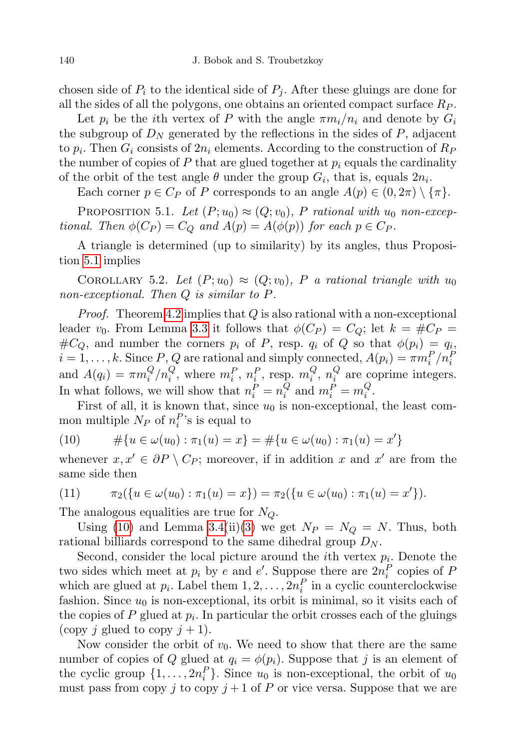chosen side of  $P_i$  to the identical side of  $P_i$ . After these gluings are done for all the sides of all the polygons, one obtains an oriented compact surface  $R_P$ .

Let  $p_i$  be the ith vertex of P with the angle  $\pi m_i/n_i$  and denote by  $G_i$ the subgroup of  $D<sub>N</sub>$  generated by the reflections in the sides of  $P$ , adjacent to  $p_i$ . Then  $G_i$  consists of  $2n_i$  elements. According to the construction of  $R_P$ the number of copies of P that are glued together at  $p_i$  equals the cardinality of the orbit of the test angle  $\theta$  under the group  $G_i$ , that is, equals  $2n_i$ .

Each corner  $p \in C_P$  of P corresponds to an angle  $A(p) \in (0, 2\pi) \setminus {\pi}$ .

<span id="page-11-0"></span>PROPOSITION 5.1. Let  $(P; u_0) \approx (Q; v_0)$ , P rational with  $u_0$  non-exceptional. Then  $\phi(C_P) = C_Q$  and  $A(p) = A(\phi(p))$  for each  $p \in C_P$ .

A triangle is determined (up to similarity) by its angles, thus Proposition [5.1](#page-11-0) implies

<span id="page-11-2"></span>COROLLARY 5.2. Let  $(P; u_0) \approx (Q; v_0)$ , P a rational triangle with  $u_0$ non-exceptional. Then Q is similar to P.

*Proof.* Theorem [4.2](#page-10-0) implies that  $Q$  is also rational with a non-exceptional leader  $v_0$ . From Lemma [3.3](#page-4-1) it follows that  $\phi(C_P) = C_Q$ ; let  $k = \#C_P =$  $\#C_Q$ , and number the corners  $p_i$  of P, resp.  $q_i$  of Q so that  $\phi(p_i) = q_i$ ,  $i = 1, \ldots, k$ . Since  $P, Q$  are rational and simply connected,  $A(p_i) = \pi m_i^P / n_i^P$ and  $A(q_i) = \pi m_i^Q$  $_{i}^{Q}/n_{i}^{Q}$ , where  $m_{i}^{P}$ ,  $n_{i}^{P}$ , resp.  $m_{i}^{Q}$  $i^Q$ ,  $n_i^Q$  $\frac{Q}{i}$  are coprime integers. In what follows, we will show that  $n_i^P = n_i^Q$  $_i^Q$  and  $m_i^P = m_i^Q$  $\frac{Q}{i}$ .

First of all, it is known that, since  $u_0$  is non-exceptional, the least common multiple  $N_P$  of  $n_i^P$ 's is equal to

<span id="page-11-1"></span>(10) 
$$
\#\{u \in \omega(u_0) : \pi_1(u) = x\} = \#\{u \in \omega(u_0) : \pi_1(u) = x'\}
$$

whenever  $x, x' \in \partial P \setminus C_P$ ; moreover, if in addition x and x' are from the same side then

(11) 
$$
\pi_2(\{u \in \omega(u_0) : \pi_1(u) = x\}) = \pi_2(\{u \in \omega(u_0) : \pi_1(u) = x'\}).
$$

The analogous equalities are true for  $N_Q$ .

Using [\(10\)](#page-11-1) and Lemma [3.4\(](#page-5-3)ii)[\(3\)](#page-5-1) we get  $N_P = N_Q = N$ . Thus, both rational billiards correspond to the same dihedral group  $D<sub>N</sub>$ .

Second, consider the local picture around the *i*<sup>th</sup> vertex  $p_i$ . Denote the two sides which meet at  $p_i$  by e and e'. Suppose there are  $2n_i^P$  copies of F which are glued at  $p_i$ . Label them  $1, 2, ..., 2n_i^P$  in a cyclic counterclockwise fashion. Since  $u_0$  is non-exceptional, its orbit is minimal, so it visits each of the copies of  $P$  glued at  $p_i$ . In particular the orbit crosses each of the gluings (copy j glued to copy  $j + 1$ ).

Now consider the orbit of  $v_0$ . We need to show that there are the same number of copies of Q glued at  $q_i = \phi(p_i)$ . Suppose that j is an element of the cyclic group  $\{1, \ldots, 2n_i^P\}$ . Since  $u_0$  is non-exceptional, the orbit of  $u_0$ must pass from copy j to copy  $j+1$  of P or vice versa. Suppose that we are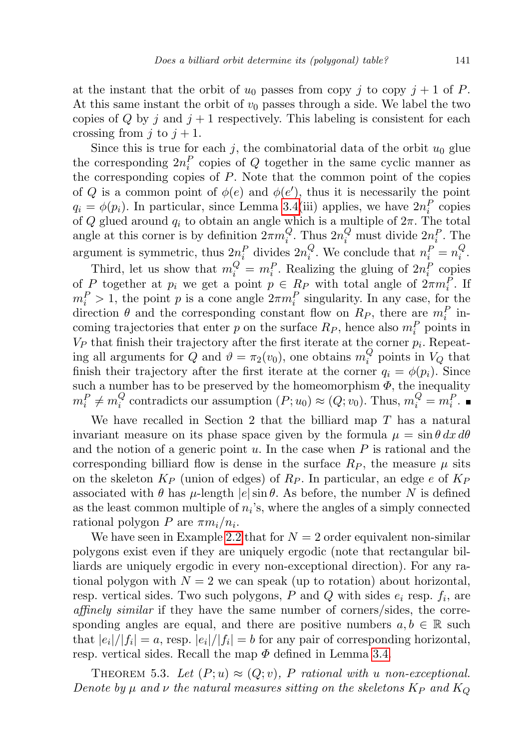at the instant that the orbit of  $u_0$  passes from copy j to copy  $j + 1$  of P. At this same instant the orbit of  $v_0$  passes through a side. We label the two copies of Q by j and  $j+1$  respectively. This labeling is consistent for each crossing from j to  $j + 1$ .

Since this is true for each j, the combinatorial data of the orbit  $u_0$  glue the corresponding  $2n_i^P$  copies of Q together in the same cyclic manner as the corresponding copies of  $P$ . Note that the common point of the copies of Q is a common point of  $\phi(e)$  and  $\phi(e')$ , thus it is necessarily the point  $q_i = \phi(p_i)$ . In particular, since Lemma [3.4\(](#page-5-3)iii) applies, we have  $2n_i^P$  copies of Q glued around  $q_i$  to obtain an angle which is a multiple of  $2\pi$ . The total angle at this corner is by definition  $2\pi m_i^Q$  $\frac{Q}{i}$ . Thus  $2n_i^Q$  must divide  $2n_i^P$ . The argument is symmetric, thus  $2n_i^P$  divides  $2n_i^Q$  $_i^Q$ . We conclude that  $n_i^P = n_i^Q$  $\frac{Q}{i}$  .

Third, let us show that  $m_i^Q = m_i^P$ . Realizing the gluing of  $2n_i^P$  copies of P together at  $p_i$  we get a point  $p \in R_P$  with total angle of  $2\pi m_i^P$ . If  $m_i^P > 1$ , the point p is a cone angle  $2\pi m_i^P$  singularity. In any case, for the direction  $\theta$  and the corresponding constant flow on  $R_P$ , there are  $m_i^P$  incoming trajectories that enter p on the surface  $R_P$ , hence also  $m_i^P$  points in  $V_P$  that finish their trajectory after the first iterate at the corner  $p_i$ . Repeating all arguments for  $\hat{Q}$  and  $\hat{\theta} = \pi_2(v_0)$ , one obtains  $m_i^Q$  $\frac{Q}{i}$  points in  $V_Q$  that finish their trajectory after the first iterate at the corner  $q_i = \phi(p_i)$ . Since such a number has to be preserved by the homeomorphism  $\Phi$ , the inequality  $m_i^P \neq m_i^Q$  $_{i}^{Q}$  contradicts our assumption  $(P; u_0) \approx (Q; v_0)$ . Thus,  $m_i^{Q} = m_i^{P}$ .

We have recalled in Section 2 that the billiard map  $T$  has a natural invariant measure on its phase space given by the formula  $\mu = \sin \theta \, dx \, d\theta$ and the notion of a generic point  $u$ . In the case when  $P$  is rational and the corresponding billiard flow is dense in the surface  $R_P$ , the measure  $\mu$  sits on the skeleton  $K_P$  (union of edges) of  $R_P$ . In particular, an edge e of  $K_P$ associated with  $\theta$  has  $\mu$ -length  $|e| \sin \theta$ . As before, the number N is defined as the least common multiple of  $n_i$ 's, where the angles of a simply connected rational polygon P are  $\pi m_i/n_i$ .

We have seen in Example [2.2](#page-3-1) that for  $N = 2$  order equivalent non-similar polygons exist even if they are uniquely ergodic (note that rectangular billiards are uniquely ergodic in every non-exceptional direction). For any rational polygon with  $N = 2$  we can speak (up to rotation) about horizontal, resp. vertical sides. Two such polygons,  $P$  and  $Q$  with sides  $e_i$  resp.  $f_i$ , are affinely similar if they have the same number of corners/sides, the corresponding angles are equal, and there are positive numbers  $a, b \in \mathbb{R}$  such that  $|e_i|/|f_i| = a$ , resp.  $|e_i|/|f_i| = b$  for any pair of corresponding horizontal, resp. vertical sides. Recall the map  $\Phi$  defined in Lemma [3.4.](#page-5-3)

<span id="page-12-0"></span>THEOREM 5.3. Let  $(P; u) \approx (Q; v)$ , P rational with u non-exceptional. Denote by  $\mu$  and  $\nu$  the natural measures sitting on the skeletons  $K_P$  and  $K_Q$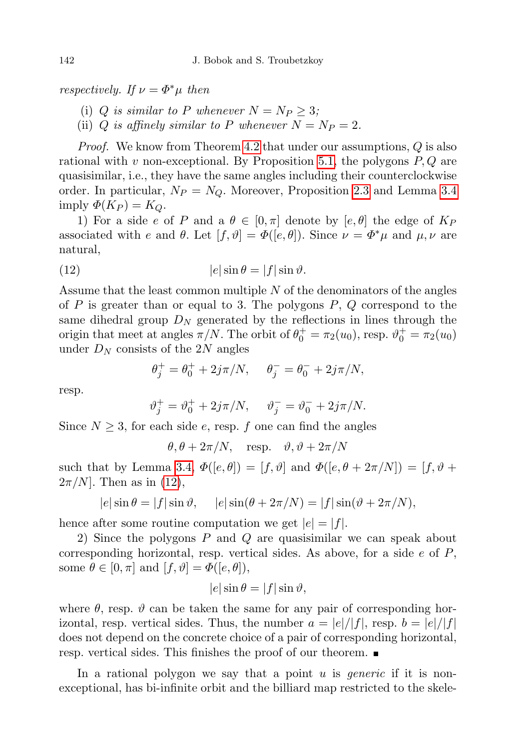respectively. If  $\nu = \Phi^* \mu$  then

- (i) Q is similar to P whenever  $N = N_P \geq 3$ ;
- (ii) Q is affinely similar to P whenever  $N = N_P = 2$ .

*Proof.* We know from Theorem [4.2](#page-10-0) that under our assumptions, Q is also rational with v non-exceptional. By Proposition [5.1,](#page-11-0) the polygons  $P, Q$  are quasisimilar, i.e., they have the same angles including their counterclockwise order. In particular,  $N_P = N_Q$ . Moreover, Proposition [2.3](#page-3-0) and Lemma [3.4](#page-5-3) imply  $\Phi(K_P) = K_Q$ .

1) For a side e of P and a  $\theta \in [0, \pi]$  denote by  $[e, \theta]$  the edge of  $K_P$ associated with e and  $\theta$ . Let  $[f, \vartheta] = \Phi([e, \theta])$ . Since  $\nu = \Phi^* \mu$  and  $\mu, \nu$  are natural,

(12) 
$$
|e| \sin \theta = |f| \sin \vartheta.
$$

Assume that the least common multiple N of the denominators of the angles of  $P$  is greater than or equal to 3. The polygons  $P, Q$  correspond to the same dihedral group  $D_N$  generated by the reflections in lines through the origin that meet at angles  $\pi/N$ . The orbit of  $\theta_0^+ = \pi_2(u_0)$ , resp.  $\theta_0^+ = \pi_2(u_0)$ under  $D_N$  consists of the 2N angles

<span id="page-13-0"></span>
$$
\theta_j^+ = \theta_0^+ + 2j\pi/N
$$
,  $\theta_j^- = \theta_0^- + 2j\pi/N$ ,

resp.

$$
\vartheta_j^+ = \vartheta_0^+ + 2j\pi/N, \quad \vartheta_j^- = \vartheta_0^- + 2j\pi/N.
$$

Since  $N \geq 3$ , for each side e, resp. f one can find the angles

 $\theta$ ,  $\theta$  +  $2\pi/N$ , resp.  $\vartheta$ ,  $\vartheta$  +  $2\pi/N$ 

such that by Lemma [3.4,](#page-5-3)  $\Phi([e,\theta]) = [f,\vartheta]$  and  $\Phi([e,\theta+2\pi/N]) = [f,\vartheta+2\pi/N]$  $2\pi/N$ . Then as in [\(12\)](#page-13-0),

$$
|e|\sin\theta = |f|\sin\vartheta, \quad |e|\sin(\theta + 2\pi/N) = |f|\sin(\vartheta + 2\pi/N),
$$

hence after some routine computation we get  $|e| = |f|$ .

2) Since the polygons P and Q are quasisimilar we can speak about corresponding horizontal, resp. vertical sides. As above, for a side  $e$  of  $P$ , some  $\theta \in [0, \pi]$  and  $[f, \vartheta] = \varPhi([e, \theta]),$ 

$$
|e|\sin\theta = |f|\sin\vartheta,
$$

where  $\theta$ , resp.  $\vartheta$  can be taken the same for any pair of corresponding horizontal, resp. vertical sides. Thus, the number  $a = |e|/|f|$ , resp.  $b = |e|/|f|$ does not depend on the concrete choice of a pair of corresponding horizontal, resp. vertical sides. This finishes the proof of our theorem.

In a rational polygon we say that a point  $u$  is *generic* if it is nonexceptional, has bi-infinite orbit and the billiard map restricted to the skele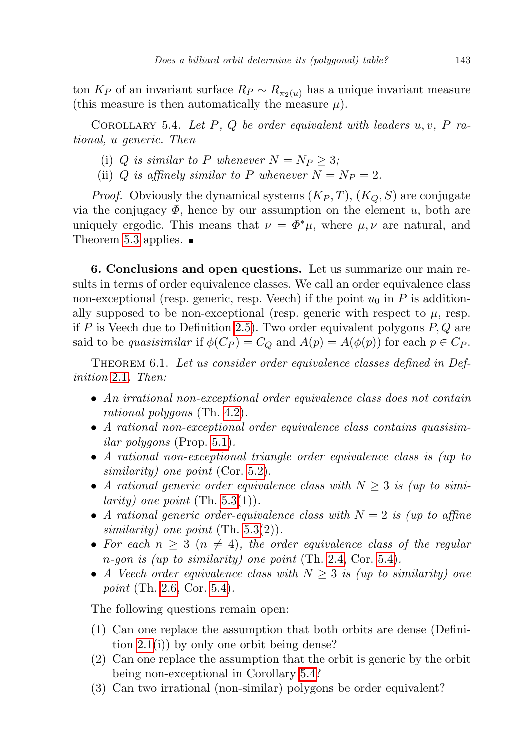ton K<sub>P</sub> of an invariant surface  $R_P \sim R_{\pi_2(u)}$  has a unique invariant measure (this measure is then automatically the measure  $\mu$ ).

<span id="page-14-0"></span>COROLLARY 5.4. Let  $P$ ,  $Q$  be order equivalent with leaders  $u, v, P$  rational, u generic. Then

- (i) Q is similar to P whenever  $N = N_P \geq 3$ ;
- (ii) Q is affinely similar to P whenever  $N = N_P = 2$ .

*Proof.* Obviously the dynamical systems  $(K_P, T)$ ,  $(K_Q, S)$  are conjugate via the conjugacy  $\Phi$ , hence by our assumption on the element u, both are uniquely ergodic. This means that  $\nu = \Phi^*\mu$ , where  $\mu, \nu$  are natural, and Theorem [5.3](#page-12-0) applies.  $\blacksquare$ 

6. Conclusions and open questions. Let us summarize our main results in terms of order equivalence classes. We call an order equivalence class non-exceptional (resp. generic, resp. Veech) if the point  $u_0$  in P is additionally supposed to be non-exceptional (resp. generic with respect to  $\mu$ , resp. if  $P$  is Veech due to Definition [2.5\)](#page-4-2). Two order equivalent polygons  $P, Q$  are said to be quasisimilar if  $\phi(C_P) = C_Q$  and  $A(p) = A(\phi(p))$  for each  $p \in C_P$ .

THEOREM 6.1. Let us consider order equivalence classes defined in Definition [2.1](#page-2-0). Then:

- An irrational non-exceptional order equivalence class does not contain rational polygons (Th. [4.2\)](#page-10-0).
- A rational non-exceptional order equivalence class contains quasisimilar polygons (Prop. [5.1\)](#page-11-0).
- A rational non-exceptional triangle order equivalence class is (up to similarity) one point (Cor. [5.2\)](#page-11-2).
- A rational generic order equivalence class with  $N \geq 3$  is (up to simi*larity*) one point  $(Th. 5.3(1)).$  $(Th. 5.3(1)).$  $(Th. 5.3(1)).$
- A rational generic order-equivalence class with  $N = 2$  is (up to affine similarity) one point  $(Th. 5.3(2)).$  $(Th. 5.3(2)).$  $(Th. 5.3(2)).$
- For each  $n \geq 3$   $(n \neq 4)$ , the order equivalence class of the regular n-gon is (up to similarity) one point (Th. [2.4,](#page-4-3) Cor. [5.4\)](#page-14-0).
- A Veech order equivalence class with  $N \geq 3$  is (up to similarity) one point (Th. [2.6,](#page-4-4) Cor. [5.4\)](#page-14-0).

The following questions remain open:

- (1) Can one replace the assumption that both orbits are dense (Definition [2.1\(](#page-2-0)i)) by only one orbit being dense?
- (2) Can one replace the assumption that the orbit is generic by the orbit being non-exceptional in Corollary [5.4?](#page-14-0)
- (3) Can two irrational (non-similar) polygons be order equivalent?